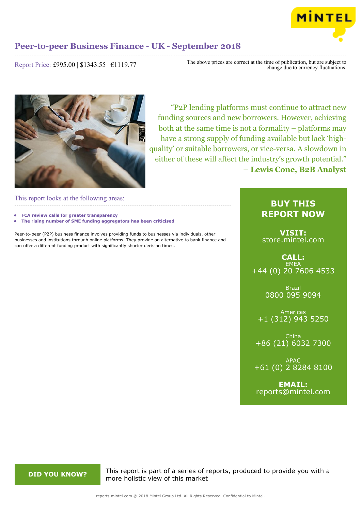

Report Price: £995.00 | \$1343.55 | €1119.77

The above prices are correct at the time of publication, but are subject to change due to currency fluctuations.



"P2P lending platforms must continue to attract new funding sources and new borrowers. However, achieving both at the same time is not a formality – platforms may have a strong supply of funding available but lack 'highquality' or suitable borrowers, or vice-versa. A slowdown in either of these will affect the industry's growth potential." **– Lewis Cone, B2B Analyst**

This report looks at the following areas:

- **• FCA review calls for greater transparency**
- **• The rising number of SME funding aggregators has been criticised**

Peer-to-peer (P2P) business finance involves providing funds to businesses via individuals, other businesses and institutions through online platforms. They provide an alternative to bank finance and can offer a different funding product with significantly shorter decision times.

### **BUY THIS REPORT NOW**

**VISIT:** [store.mintel.com](http://reports.mintel.com//display/store/863089/)

**CALL: EMEA** +44 (0) 20 7606 4533

> Brazil 0800 095 9094

Americas +1 (312) 943 5250

China +86 (21) 6032 7300

APAC +61 (0) 2 8284 8100

**EMAIL:** [reports@mintel.com](mailto:reports@mintel.com)

**DID YOU KNOW?** This report is part of a series of reports, produced to provide you with a more holistic view of this market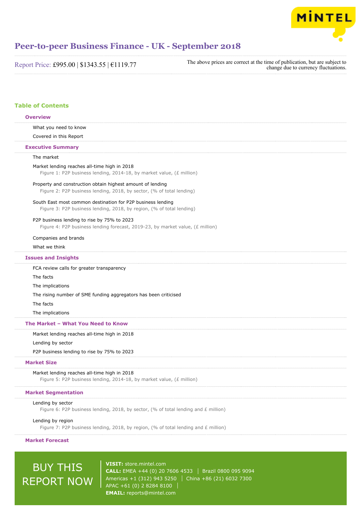

| Report Price: £995.00   \$1343.55   €1119.77 | The above prices are co |
|----------------------------------------------|-------------------------|
|----------------------------------------------|-------------------------|

The above prices are correct at the time of publication, but are subject to change due to currency fluctuations.

### **Table of Contents**

| <b>Overview</b>                                                                                                                      |
|--------------------------------------------------------------------------------------------------------------------------------------|
| What you need to know                                                                                                                |
| Covered in this Report                                                                                                               |
| <b>Executive Summary</b>                                                                                                             |
| The market                                                                                                                           |
| Market lending reaches all-time high in 2018<br>Figure 1: P2P business lending, 2014-18, by market value, (£ million)                |
| Property and construction obtain highest amount of lending<br>Figure 2: P2P business lending, 2018, by sector, (% of total lending)  |
| South East most common destination for P2P business lending<br>Figure 3: P2P business lending, 2018, by region, (% of total lending) |
| P2P business lending to rise by 75% to 2023<br>Figure 4: P2P business lending forecast, 2019-23, by market value, (£ million)        |
| Companies and brands                                                                                                                 |
| What we think                                                                                                                        |
| <b>Issues and Insights</b>                                                                                                           |
| FCA review calls for greater transparency                                                                                            |
| The facts                                                                                                                            |
| The implications                                                                                                                     |
| The rising number of SME funding aggregators has been criticised                                                                     |
| The facts                                                                                                                            |
| The implications                                                                                                                     |
| The Market - What You Need to Know                                                                                                   |
| Market lending reaches all-time high in 2018                                                                                         |
| Lending by sector                                                                                                                    |
| P2P business lending to rise by 75% to 2023                                                                                          |
| <b>Market Size</b>                                                                                                                   |
| Market lending reaches all-time high in 2018<br>Figure 5: P2P business lending, 2014-18, by market value, (£ million)                |
| <b>Market Segmentation</b>                                                                                                           |
| Lending by sector                                                                                                                    |
| Figure 6: P2P business lending, 2018, by sector, (% of total lending and $E$ million)                                                |
| Lending by region                                                                                                                    |
| Figure 7: P2P business lending, 2018, by region, (% of total lending and $E$ million)                                                |

**Market Forecast**

# BUY THIS REPORT NOW

**VISIT:** [store.mintel.com](http://reports.mintel.com//display/store/863089/) **CALL:** EMEA +44 (0) 20 7606 4533 | Brazil 0800 095 9094 Americas +1 (312) 943 5250 | China +86 (21) 6032 7300 APAC +61 (0) 2 8284 8100 **EMAIL:** [reports@mintel.com](mailto:reports@mintel.com)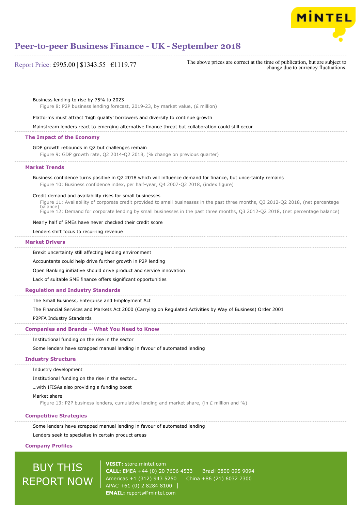

| Report Price: £995.00   \$1343.55   €1119.77 |  |  |  |
|----------------------------------------------|--|--|--|
|----------------------------------------------|--|--|--|

The above prices are correct at the time of publication, but are subject to change due to currency fluctuations.

Business lending to rise by 75% to 2023

Figure 8: P2P business lending forecast, 2019-23, by market value, (£ million)

Platforms must attract 'high quality' borrowers and diversify to continue growth

Mainstream lenders react to emerging alternative finance threat but collaboration could still occur

#### **The Impact of the Economy**

GDP growth rebounds in Q2 but challenges remain

Figure 9: GDP growth rate, Q2 2014-Q2 2018, (% change on previous quarter)

#### **Market Trends**

Business confidence turns positive in Q2 2018 which will influence demand for finance, but uncertainty remains Figure 10: Business confidence index, per half-year, Q4 2007-Q2 2018, (index figure)

#### Credit demand and availability rises for small businesses

Figure 11: Availability of corporate credit provided to small businesses in the past three months, Q3 2012-Q2 2018, (net percentage balance) Figure 12: Demand for corporate lending by small businesses in the past three months, Q3 2012-Q2 2018, (net percentage balance)

#### Nearly half of SMEs have never checked their credit score

Lenders shift focus to recurring revenue

#### **Market Drivers**

Brexit uncertainty still affecting lending environment

Accountants could help drive further growth in P2P lending

Open Banking initiative should drive product and service innovation

Lack of suitable SME finance offers significant opportunities

#### **Regulation and Industry Standards**

The Small Business, Enterprise and Employment Act

The Financial Services and Markets Act 2000 (Carrying on Regulated Activities by Way of Business) Order 2001

P2PFA Industry Standards

#### **Companies and Brands – What You Need to Know**

Institutional funding on the rise in the sector

Some lenders have scrapped manual lending in favour of automated lending

#### **Industry Structure**

Industry development

Institutional funding on the rise in the sector…

…with IFISAs also providing a funding boost

#### Market share

Figure 13: P2P business lenders, cumulative lending and market share, (in  $E$  million and %)

#### **Competitive Strategies**

Some lenders have scrapped manual lending in favour of automated lending

Lenders seek to specialise in certain product areas

#### **Company Profiles**

## BUY THIS REPORT NOW

**VISIT:** [store.mintel.com](http://reports.mintel.com//display/store/863089/) **CALL:** EMEA +44 (0) 20 7606 4533 Brazil 0800 095 9094 Americas +1 (312) 943 5250 | China +86 (21) 6032 7300 APAC +61 (0) 2 8284 8100 **EMAIL:** [reports@mintel.com](mailto:reports@mintel.com)